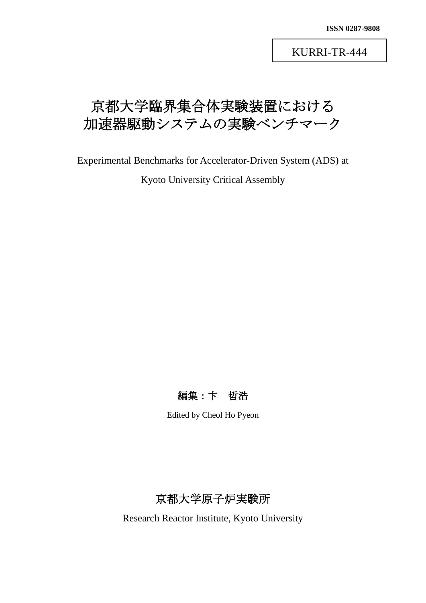KURRI-TR-444

# 京都大学臨界集合体実験装置における 加速器駆動システムの実験ベンチマーク

Experimental Benchmarks for Accelerator-Driven System (ADS) at

Kyoto University Critical Assembly

編集:卞 哲浩

Edited by Cheol Ho Pyeon

京都大学原子炉実験所

Research Reactor Institute, Kyoto University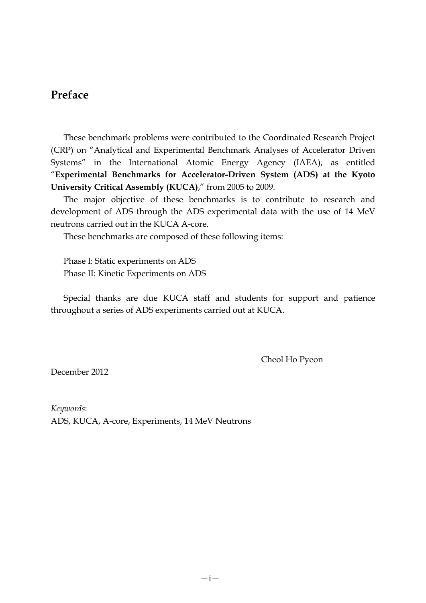# **Preface**

 These benchmark problems were contributed to the Coordinated Research Project (CRP) on "Analytical and Experimental Benchmark Analyses of Accelerator Driven Systems" in the International Atomic Energy Agency (IAEA), as entitled "**Experimental Benchmarks for Accelerator-Driven System (ADS) at the Kyoto University Critical Assembly (KUCA)**," from 2005 to 2009.

 The major objective of these benchmarks is to contribute to research and development of ADS through the ADS experimental data with the use of 14 MeV neutrons carried out in the KUCA A-core.

These benchmarks are composed of these following items:

 Phase I: Static experiments on ADS Phase II: Kinetic Experiments on ADS

 Special thanks are due KUCA staff and students for support and patience throughout a series of ADS experiments carried out at KUCA.

Cheol Ho Pyeon

December 2012

*Keywords*: ADS, KUCA, A-core, Experiments, 14 MeV Neutrons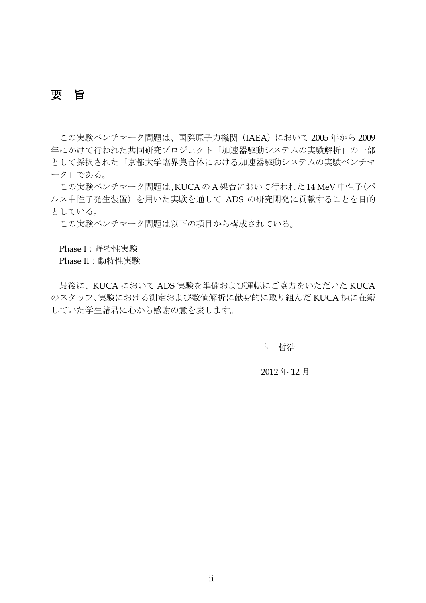要 旨

この実験ベンチマーク問題は、国際原子力機関 (IAEA) において 2005 年から 2009 年にかけて行われた共同研究プロジェクト「加速器駆動システムの実験解析」の一部 として採択された「京都大学臨界集合体における加速器駆動システムの実験ベンチマ ーク」である。

この実験ベンチマーク問題は、KUCAのA架台において行われた14 MeV中性子(パ ルス中性子発生装置)を用いた実験を通して ADS の研究開発に貢献することを目的 としている。

この実験ベンチマーク問題は以下の項目から構成されている。

Phase I:静特性実験

Phase II:動特性実験

最後に、KUCA において ADS 実験を準備および運転にご協力をいただいた KUCA のスタッフ、実験における測定および数値解析に献身的に取り組んだ KUCA 棟に在籍 していた学生諸君に心から感謝の意を表します。

卞 哲浩

2012 年 12 月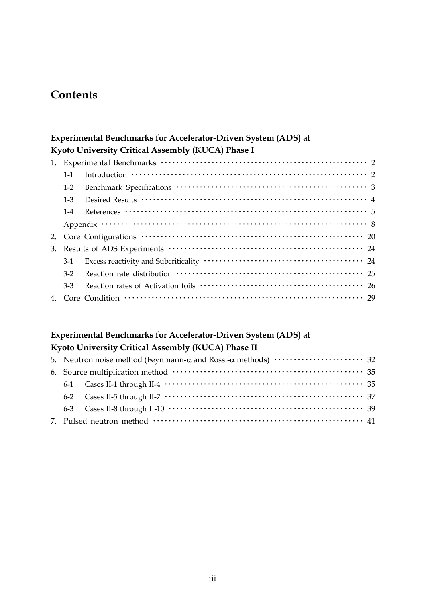# **Contents**

#### **Experimental Benchmarks for Accelerator-Driven System (ADS) at Kyoto University Critical Assembly (KUCA) Phase I**

| $1 - 1$ |                                                                                                                                                                                                       |
|---------|-------------------------------------------------------------------------------------------------------------------------------------------------------------------------------------------------------|
| $1-2$   |                                                                                                                                                                                                       |
| $1 - 3$ |                                                                                                                                                                                                       |
| $1 - 4$ | References $\cdots$ $\cdots$ $\cdots$ $\cdots$ $\cdots$ $\cdots$ $\cdots$ $\cdots$ $\cdots$ $\cdots$ $\cdots$ $\cdots$ $\cdots$ $\cdots$ $\cdots$ $\cdots$                                            |
|         | Appendix $\cdots$ $\cdots$ $\cdots$ $\cdots$ $\cdots$ $\cdots$ $\cdots$ $\cdots$ $\cdots$ $\cdots$ $\cdots$ $\cdots$ $\cdots$ $\cdots$ $\cdots$ $\cdots$ $\cdots$ $\cdots$ $\cdots$ $\cdots$ $\cdots$ |
|         |                                                                                                                                                                                                       |
|         |                                                                                                                                                                                                       |
| 3-1     |                                                                                                                                                                                                       |
| $3-2$   |                                                                                                                                                                                                       |
| $3-3$   |                                                                                                                                                                                                       |
|         |                                                                                                                                                                                                       |

## **Experimental Benchmarks for Accelerator-Driven System (ADS) at Kyoto University Critical Assembly (KUCA) Phase II**

|  | 5. Neutron noise method (Feynmann-α and Rossi-α methods) $\dots\dots\dots\dots\dots\dots\dots$ 32 |  |  |
|--|---------------------------------------------------------------------------------------------------|--|--|
|  |                                                                                                   |  |  |
|  |                                                                                                   |  |  |
|  |                                                                                                   |  |  |
|  |                                                                                                   |  |  |
|  |                                                                                                   |  |  |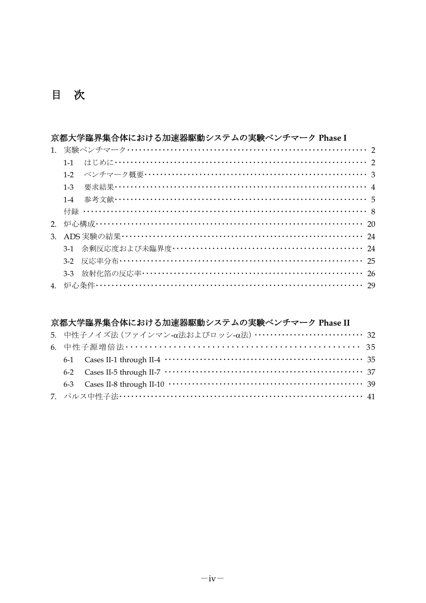# 目 次

#### 京都大学臨界集合体における加速器駆動システムの実験ベンチマーク Phase I

| $1 - 1$ |                                     |
|---------|-------------------------------------|
|         |                                     |
| $1 - 3$ | 要求結果 ………………………………………………………………………… 4 |
| $1 - 4$ | 参考文献……………………………………………………………………… 5   |
|         | 付録 …………………………………………………………………………… 8  |
|         |                                     |
|         |                                     |
|         |                                     |
|         |                                     |
|         |                                     |
|         |                                     |
|         |                                     |

## 京都大学臨界集合体における加速器駆動システムの実験ベンチマーク Phase II

|  | 5. 中性子ノイズ法 (ファインマン-α法およびロッシ-α法) ・・・・・・・・・・・・・・・・・・・・・・・・・・・・32 |  |
|--|----------------------------------------------------------------|--|
|  | 6. 中性子源増倍法 …………………………………………………………… 35                          |  |
|  |                                                                |  |
|  |                                                                |  |
|  |                                                                |  |
|  | 7. パルス中性子法…………………………………………………………………… 41                        |  |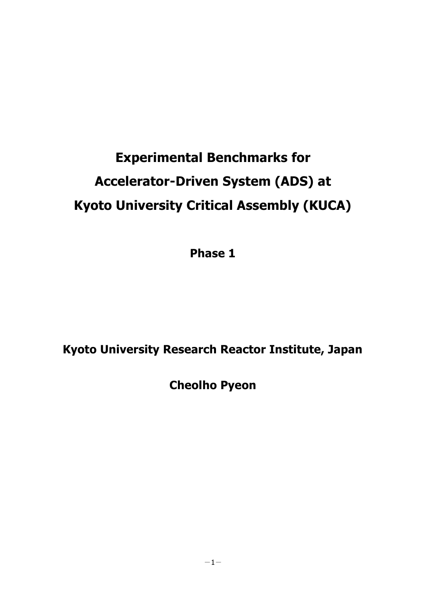# **Experimental Benchmarks for Accelerator-Driven System (ADS) at Kyoto University Critical Assembly (KUCA)**

**Phase 1**

# **Kyoto University Research Reactor Institute, Japan**

**Cheolho Pyeon**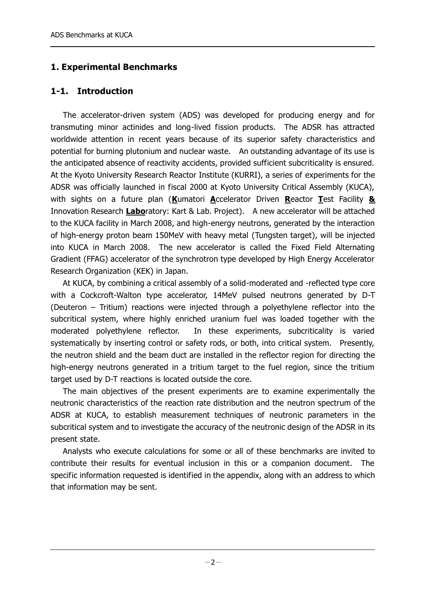### **1. Experimental Benchmarks**

#### **1-1. Introduction**

 The accelerator-driven system (ADS) was developed for producing energy and for transmuting minor actinides and long-lived fission products. The ADSR has attracted worldwide attention in recent years because of its superior safety characteristics and potential for burning plutonium and nuclear waste. An outstanding advantage of its use is the anticipated absence of reactivity accidents, provided sufficient subcriticality is ensured. At the Kyoto University Research Reactor Institute (KURRI), a series of experiments for the ADSR was officially launched in fiscal 2000 at Kyoto University Critical Assembly (KUCA), with sights on a future plan (**K**umatori **A**ccelerator Driven **R**eactor **T**est Facility **&** Innovation Research **Labo**ratory: Kart & Lab. Project). A new accelerator will be attached to the KUCA facility in March 2008, and high-energy neutrons, generated by the interaction of high-energy proton beam 150MeV with heavy metal (Tungsten target), will be injected into KUCA in March 2008. The new accelerator is called the Fixed Field Alternating Gradient (FFAG) accelerator of the synchrotron type developed by High Energy Accelerator Research Organization (KEK) in Japan.

 At KUCA, by combining a critical assembly of a solid-moderated and -reflected type core with a Cockcroft-Walton type accelerator, 14MeV pulsed neutrons generated by D-T (Deuteron – Tritium) reactions were injected through a polyethylene reflector into the subcritical system, where highly enriched uranium fuel was loaded together with the moderated polyethylene reflector. In these experiments, subcriticality is varied systematically by inserting control or safety rods, or both, into critical system. Presently, the neutron shield and the beam duct are installed in the reflector region for directing the high-energy neutrons generated in a tritium target to the fuel region, since the tritium target used by D-T reactions is located outside the core.

 The main objectives of the present experiments are to examine experimentally the neutronic characteristics of the reaction rate distribution and the neutron spectrum of the ADSR at KUCA, to establish measurement techniques of neutronic parameters in the subcritical system and to investigate the accuracy of the neutronic design of the ADSR in its present state.

 Analysts who execute calculations for some or all of these benchmarks are invited to contribute their results for eventual inclusion in this or a companion document. The specific information requested is identified in the appendix, along with an address to which that information may be sent.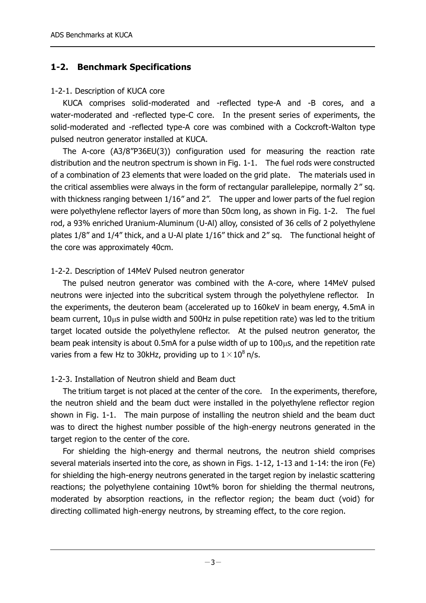### **1-2. Benchmark Specifications**

#### 1-2-1. Description of KUCA core

 KUCA comprises solid-moderated and -reflected type-A and -B cores, and a water-moderated and -reflected type-C core. In the present series of experiments, the solid-moderated and -reflected type-A core was combined with a Cockcroft-Walton type pulsed neutron generator installed at KUCA.

 The A-core (A3/8"P36EU(3)) configuration used for measuring the reaction rate distribution and the neutron spectrum is shown in Fig. 1-1. The fuel rods were constructed of a combination of 23 elements that were loaded on the grid plate. The materials used in the critical assemblies were always in the form of rectangular parallelepipe, normally 2" sq. with thickness ranging between 1/16" and 2". The upper and lower parts of the fuel region were polyethylene reflector layers of more than 50cm long, as shown in Fig. 1-2. The fuel rod, a 93% enriched Uranium-Aluminum (U-Al) alloy, consisted of 36 cells of 2 polyethylene plates 1/8" and 1/4" thick, and a U-Al plate 1/16" thick and 2" sq. The functional height of the core was approximately 40cm.

#### 1-2-2. Description of 14MeV Pulsed neutron generator

 The pulsed neutron generator was combined with the A-core, where 14MeV pulsed neutrons were injected into the subcritical system through the polyethylene reflector. In the experiments, the deuteron beam (accelerated up to 160keV in beam energy, 4.5mA in beam current,  $10\mu s$  in pulse width and 500Hz in pulse repetition rate) was led to the tritium target located outside the polyethylene reflector. At the pulsed neutron generator, the beam peak intensity is about  $0.5$ mA for a pulse width of up to  $100<sub>µ</sub>s$ , and the repetition rate varies from a few Hz to 30kHz, providing up to  $1 \times 10^8$  n/s.

#### 1-2-3. Installation of Neutron shield and Beam duct

 The tritium target is not placed at the center of the core. In the experiments, therefore, the neutron shield and the beam duct were installed in the polyethylene reflector region shown in Fig. 1-1. The main purpose of installing the neutron shield and the beam duct was to direct the highest number possible of the high-energy neutrons generated in the target region to the center of the core.

 For shielding the high-energy and thermal neutrons, the neutron shield comprises several materials inserted into the core, as shown in Figs. 1-12, 1-13 and 1-14: the iron (Fe) for shielding the high-energy neutrons generated in the target region by inelastic scattering reactions; the polyethylene containing 10wt% boron for shielding the thermal neutrons, moderated by absorption reactions, in the reflector region; the beam duct (void) for directing collimated high-energy neutrons, by streaming effect, to the core region.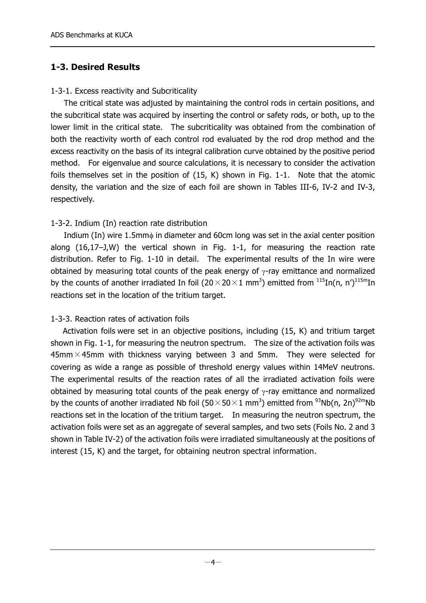#### **1-3. Desired Results**

#### 1-3-1. Excess reactivity and Subcriticality

 The critical state was adjusted by maintaining the control rods in certain positions, and the subcritical state was acquired by inserting the control or safety rods, or both, up to the lower limit in the critical state. The subcriticality was obtained from the combination of both the reactivity worth of each control rod evaluated by the rod drop method and the excess reactivity on the basis of its integral calibration curve obtained by the positive period method. For eigenvalue and source calculations, it is necessary to consider the activation foils themselves set in the position of (15, K) shown in Fig. 1-1. Note that the atomic density, the variation and the size of each foil are shown in Tables III-6, IV-2 and IV-3, respectively.

#### 1-3-2. Indium (In) reaction rate distribution

Indium (In) wire 1.5mm $\phi$  in diameter and 60cm long was set in the axial center position along (16,17–J,W) the vertical shown in Fig. 1-1, for measuring the reaction rate distribution. Refer to Fig. 1-10 in detail. The experimental results of the In wire were obtained by measuring total counts of the peak energy of  $\gamma$ -ray emittance and normalized by the counts of another irradiated In foil (20 $\times$ 20 $\times$ 1 mm<sup>3</sup>) emitted from  $^{115}$ In(n, n') $^{115}$ mIn reactions set in the location of the tritium target.

#### 1-3-3. Reaction rates of activation foils

 Activation foils were set in an objective positions, including (15, K) and tritium target shown in Fig. 1-1, for measuring the neutron spectrum. The size of the activation foils was  $45$ mm  $\times$  45mm with thickness varying between 3 and 5mm. They were selected for covering as wide a range as possible of threshold energy values within 14MeV neutrons. The experimental results of the reaction rates of all the irradiated activation foils were obtained by measuring total counts of the peak energy of  $\gamma$ -ray emittance and normalized by the counts of another irradiated Nb foil (50 $\times$ 50 $\times$ 1 mm<sup>3</sup>) emitted from <sup>93</sup>Nb(n, 2n)<sup>92m</sup>Nb reactions set in the location of the tritium target. In measuring the neutron spectrum, the activation foils were set as an aggregate of several samples, and two sets (Foils No. 2 and 3 shown in Table IV-2) of the activation foils were irradiated simultaneously at the positions of interest (15, K) and the target, for obtaining neutron spectral information.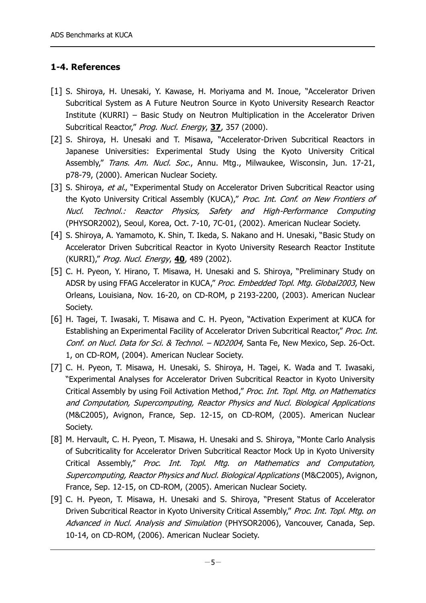#### **1-4. References**

- [1] S. Shiroya, H. Unesaki, Y. Kawase, H. Moriyama and M. Inoue, "Accelerator Driven Subcritical System as A Future Neutron Source in Kyoto University Research Reactor Institute (KURRI) – Basic Study on Neutron Multiplication in the Accelerator Driven Subcritical Reactor," Prog. Nucl. Energy, **37**, 357 (2000).
- [2] S. Shiroya, H. Unesaki and T. Misawa, "Accelerator-Driven Subcritical Reactors in Japanese Universities: Experimental Study Using the Kyoto University Critical Assembly," Trans. Am. Nucl. Soc., Annu. Mtg., Milwaukee, Wisconsin, Jun. 17-21, p78-79, (2000). American Nuclear Society.
- [3] S. Shiroya, et al., "Experimental Study on Accelerator Driven Subcritical Reactor using the Kyoto University Critical Assembly (KUCA)," Proc. Int. Conf. on New Frontiers of Nucl. Technol.: Reactor Physics, Safety and High-Performance Computing (PHYSOR2002), Seoul, Korea, Oct. 7-10, 7C-01, (2002). American Nuclear Society.
- [4] S. Shiroya, A. Yamamoto, K. Shin, T. Ikeda, S. Nakano and H. Unesaki, "Basic Study on Accelerator Driven Subcritical Reactor in Kyoto University Research Reactor Institute (KURRI)," Prog. Nucl. Energy, **40**, 489 (2002).
- [5] C. H. Pyeon, Y. Hirano, T. Misawa, H. Unesaki and S. Shiroya, "Preliminary Study on ADSR by using FFAG Accelerator in KUCA," Proc. Embedded Topl. Mtg. Global2003, New Orleans, Louisiana, Nov. 16-20, on CD-ROM, p 2193-2200, (2003). American Nuclear Society.
- [6] H. Tagei, T. Iwasaki, T. Misawa and C. H. Pyeon, "Activation Experiment at KUCA for Establishing an Experimental Facility of Accelerator Driven Subcritical Reactor," Proc. Int. Conf. on Nucl. Data for Sci. & Technol. - ND2004, Santa Fe, New Mexico, Sep. 26-Oct. 1, on CD-ROM, (2004). American Nuclear Society.
- [7] C. H. Pyeon, T. Misawa, H. Unesaki, S. Shiroya, H. Tagei, K. Wada and T. Iwasaki, "Experimental Analyses for Accelerator Driven Subcritical Reactor in Kyoto University Critical Assembly by using Foil Activation Method," Proc. Int. Topl. Mtg. on Mathematics and Computation, Supercomputing, Reactor Physics and Nucl. Biological Applications (M&C2005), Avignon, France, Sep. 12-15, on CD-ROM, (2005). American Nuclear Society.
- [8] M. Hervault, C. H. Pyeon, T. Misawa, H. Unesaki and S. Shiroya, "Monte Carlo Analysis of Subcriticality for Accelerator Driven Subcritical Reactor Mock Up in Kyoto University Critical Assembly," Proc. Int. Topl. Mtg. on Mathematics and Computation, Supercomputing, Reactor Physics and Nucl. Biological Applications (M&C2005), Avignon, France, Sep. 12-15, on CD-ROM, (2005). American Nuclear Society.
- [9] C. H. Pyeon, T. Misawa, H. Unesaki and S. Shiroya, "Present Status of Accelerator Driven Subcritical Reactor in Kyoto University Critical Assembly," Proc. Int. Topl. Mtg. on Advanced in Nucl. Analysis and Simulation (PHYSOR2006), Vancouver, Canada, Sep. 10-14, on CD-ROM, (2006). American Nuclear Society.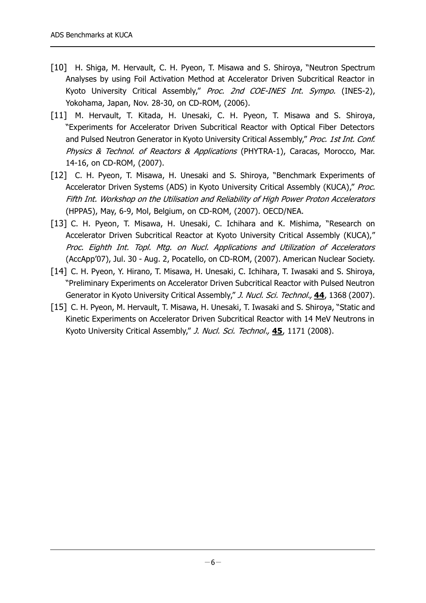- [10] H. Shiga, M. Hervault, C. H. Pyeon, T. Misawa and S. Shiroya, "Neutron Spectrum Analyses by using Foil Activation Method at Accelerator Driven Subcritical Reactor in Kyoto University Critical Assembly," Proc. 2nd COE-INES Int. Sympo. (INES-2), Yokohama, Japan, Nov. 28-30, on CD-ROM, (2006).
- [11] M. Hervault, T. Kitada, H. Unesaki, C. H. Pyeon, T. Misawa and S. Shiroya, "Experiments for Accelerator Driven Subcritical Reactor with Optical Fiber Detectors and Pulsed Neutron Generator in Kyoto University Critical Assembly," Proc. 1st Int. Conf. Physics & Technol. of Reactors & Applications (PHYTRA-1), Caracas, Morocco, Mar. 14-16, on CD-ROM, (2007).
- [12] C. H. Pyeon, T. Misawa, H. Unesaki and S. Shiroya, "Benchmark Experiments of Accelerator Driven Systems (ADS) in Kyoto University Critical Assembly (KUCA)," Proc. Fifth Int. Workshop on the Utilisation and Reliability of High Power Proton Accelerators (HPPA5), May, 6-9, Mol, Belgium, on CD-ROM, (2007). OECD/NEA.
- [13] C. H. Pyeon, T. Misawa, H. Unesaki, C. Ichihara and K. Mishima, "Research on Accelerator Driven Subcritical Reactor at Kyoto University Critical Assembly (KUCA)," Proc. Eighth Int. Topl. Mtg. on Nucl. Applications and Utilization of Accelerators (AccApp'07), Jul. 30 - Aug. 2, Pocatello, on CD-ROM, (2007). American Nuclear Society.
- [14] C. H. Pyeon, Y. Hirano, T. Misawa, H. Unesaki, C. Ichihara, T. Iwasaki and S. Shiroya, "Preliminary Experiments on Accelerator Driven Subcritical Reactor with Pulsed Neutron Generator in Kyoto University Critical Assembly," J. Nucl. Sci. Technol., **44**, 1368 (2007).
- [15] C. H. Pyeon, M. Hervault, T. Misawa, H. Unesaki, T. Iwasaki and S. Shiroya, "Static and Kinetic Experiments on Accelerator Driven Subcritical Reactor with 14 MeV Neutrons in Kyoto University Critical Assembly," J. Nucl. Sci. Technol., **45**, 1171 (2008).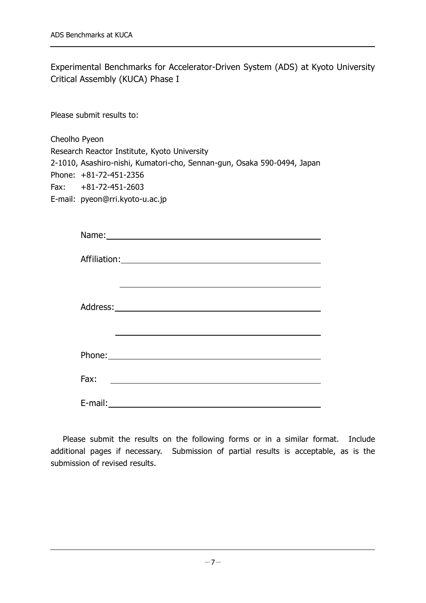Experimental Benchmarks for Accelerator-Driven System (ADS) at Kyoto University Critical Assembly (KUCA) Phase I

Please submit results to:

Cheolho Pyeon Research Reactor Institute, Kyoto University 2-1010, Asashiro-nishi, Kumatori-cho, Sennan-gun, Osaka 590-0494, Japan Phone: +81-72-451-2356 Fax: +81-72-451-2603 E-mail: pyeon@rri.kyoto-u.ac.jp

| Fax:<br><u> 1980 - Johann Barn, fransk politik (d. 1980)</u> |  |  |  |  |
|--------------------------------------------------------------|--|--|--|--|
|                                                              |  |  |  |  |

Please submit the results on the following forms or in a similar format. Include additional pages if necessary. Submission of partial results is acceptable, as is the submission of revised results.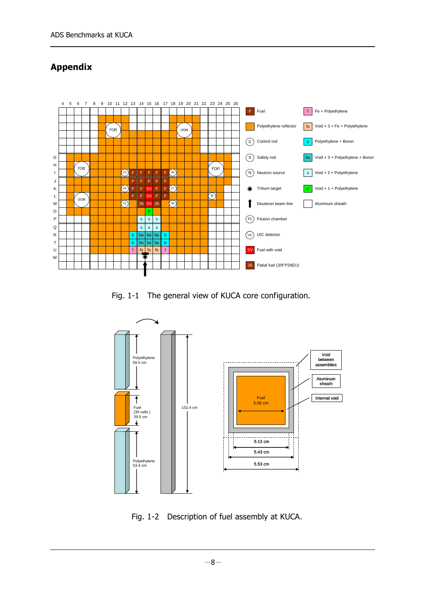# **Appendix**



Fig. 1-1 The general view of KUCA core configuration.



Fig. 1-2 Description of fuel assembly at KUCA.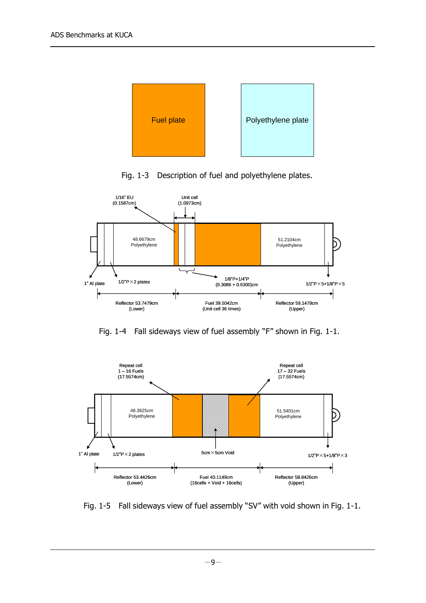

Fig. 1-3 Description of fuel and polyethylene plates.



Fig. 1-4 Fall sideways view of fuel assembly "F" shown in Fig. 1-1.



Fig. 1-5 Fall sideways view of fuel assembly "SV" with void shown in Fig. 1-1.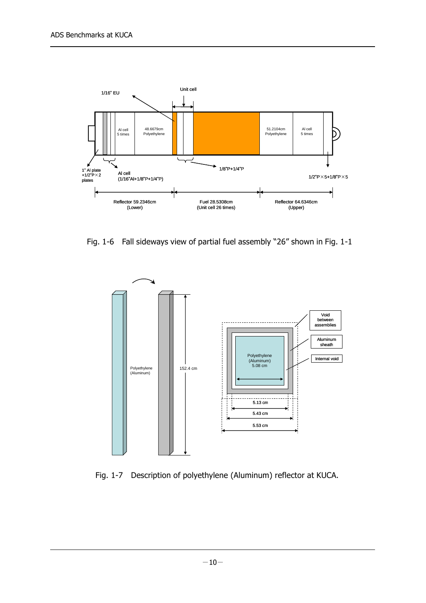

Fig. 1-6 Fall sideways view of partial fuel assembly "26" shown in Fig. 1-1



Fig. 1-7 Description of polyethylene (Aluminum) reflector at KUCA.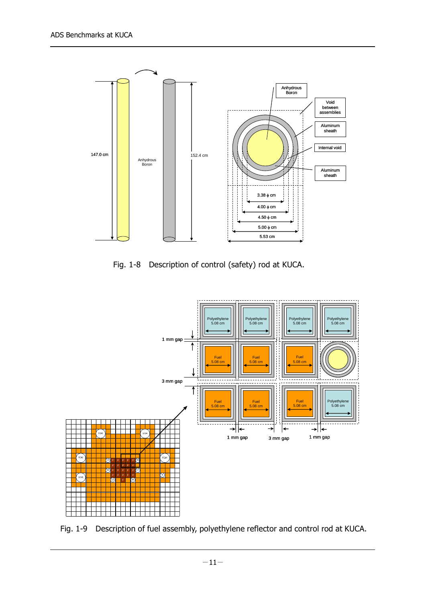

Fig. 1-8 Description of control (safety) rod at KUCA.



Fig. 1-9 Description of fuel assembly, polyethylene reflector and control rod at KUCA.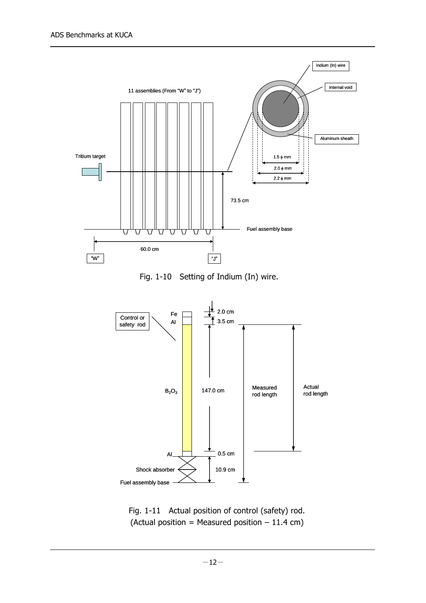

Fig. 1-10 Setting of Indium (In) wire.



Fig. 1-11 Actual position of control (safety) rod. (Actual position = Measured position  $-11.4$  cm)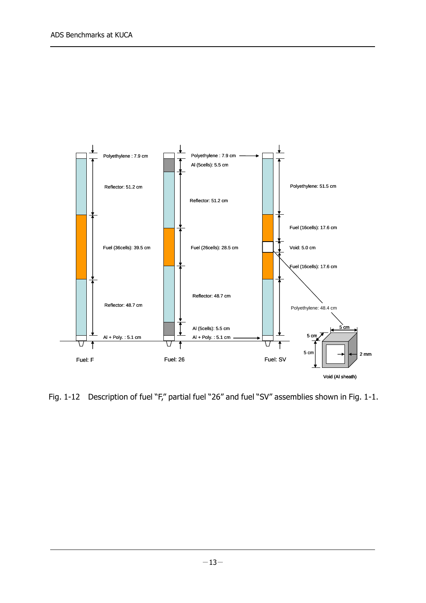

Fig. 1-12 Description of fuel "F," partial fuel "26" and fuel "SV" assemblies shown in Fig. 1-1.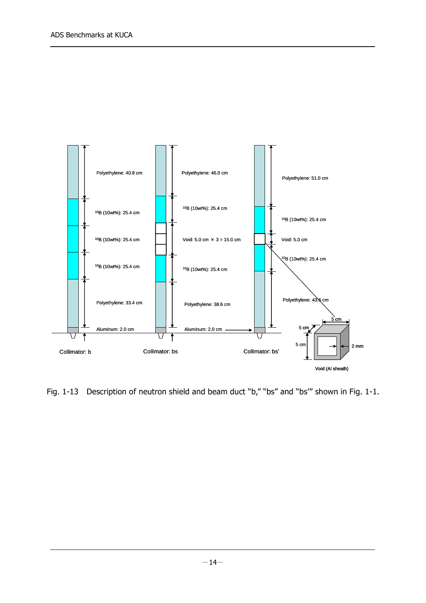

Fig. 1-13 Description of neutron shield and beam duct "b," "bs" and "bs" shown in Fig. 1-1.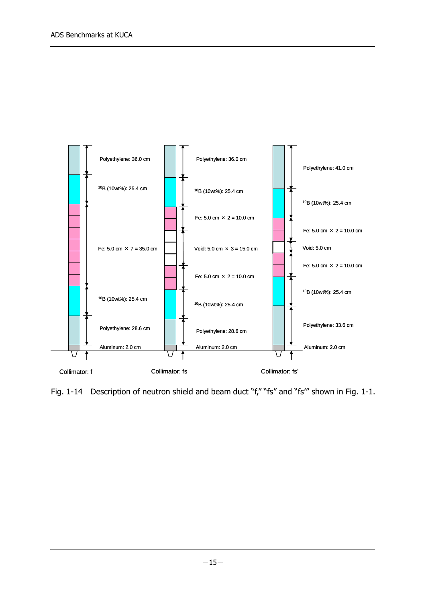

Fig. 1-14 Description of neutron shield and beam duct "f," "fs" and "fs'" shown in Fig. 1-1.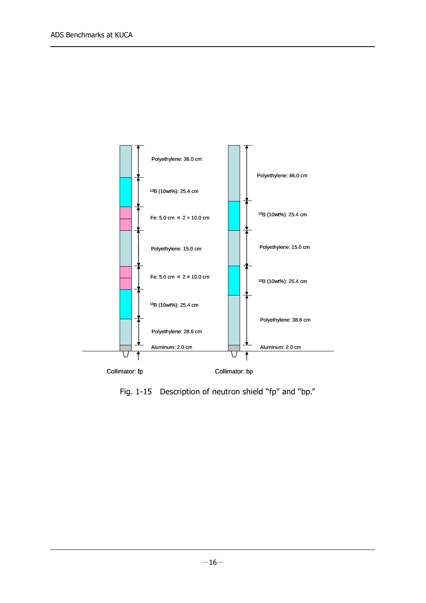

Fig. 1-15 Description of neutron shield "fp" and "bp."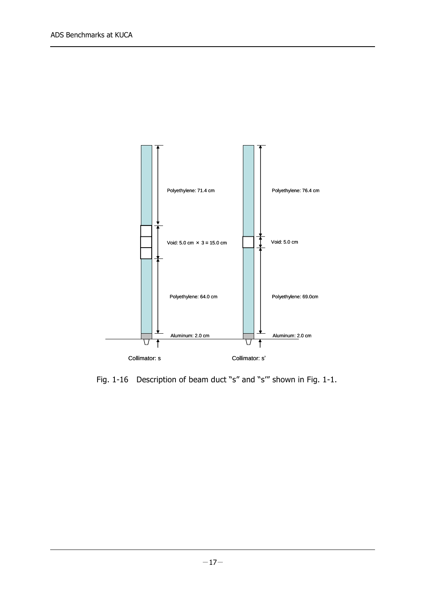

Fig. 1-16 Description of beam duct "s" and "s'" shown in Fig. 1-1.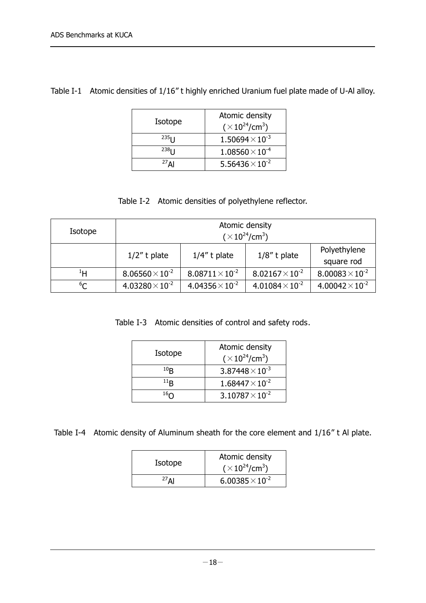|  | Table I-1 Atomic densities of 1/16" t highly enriched Uranium fuel plate made of U-Al alloy. |  |  |  |
|--|----------------------------------------------------------------------------------------------|--|--|--|
|--|----------------------------------------------------------------------------------------------|--|--|--|

| Isotope             | Atomic density<br>$(\times 10^{24}/cm^3)$ |
|---------------------|-------------------------------------------|
| $235$ <sub>1</sub>  | $1.50694\times10^{-3}$                    |
| $238$ $\mid$ $\mid$ | $1.08560\times10^{-4}$                    |
| $27$ $\Lambda$ I    | 5.56436 $\times$ 10 <sup>-2</sup>         |

#### Table I-2 Atomic densities of polyethylene reflector.

| Isotope | Atomic density<br>$(\times 10^{24}/cm^3)$ |                        |                        |                            |
|---------|-------------------------------------------|------------------------|------------------------|----------------------------|
|         | $1/2$ " t plate                           | $1/4$ " t plate        | $1/8$ " t plate        | Polyethylene<br>square rod |
| ŀΗ      | $8.06560\times10^{-2}$                    | $8.08711\times10^{-2}$ | $8.02167\times10^{-2}$ | $8.00083\times10^{-2}$     |
| $^6C$   | $4.03280\times10^{-2}$                    | $4.04356\times10^{-2}$ | $4.01084\times10^{2}$  | $4.00042\times10^{-2}$     |

Table I-3 Atomic densities of control and safety rods.

| Isotope         | Atomic density<br>$(\times 10^{24}$ /cm <sup>3</sup> ) |
|-----------------|--------------------------------------------------------|
| 10 <sub>R</sub> | $3.87448 \times 10^{-3}$                               |
| $^{11}R$        | $1.68447\times10^{-2}$                                 |
| $^{16}$ $\cap$  | $3.10787\times10^{-2}$                                 |

Table I-4 Atomic density of Aluminum sheath for the core element and 1/16" t Al plate.

| Isotope          | Atomic density                       |  |
|------------------|--------------------------------------|--|
|                  | $(\times 10^{24}$ /cm <sup>3</sup> ) |  |
| $27$ $\Lambda$ I | $6.00385 \times 10^{-2}$             |  |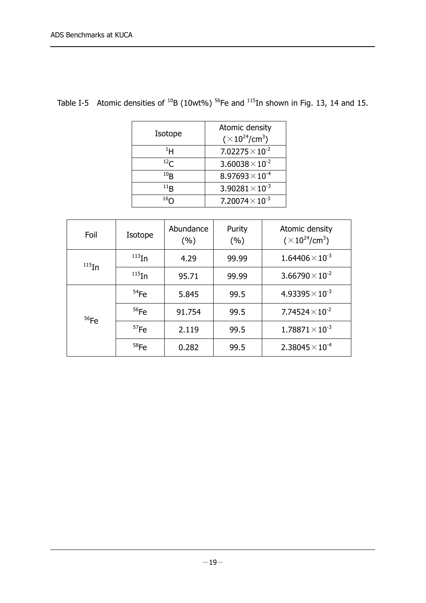|  | Table I-5 Atomic densities of $^{10}B$ (10wt%) <sup>56</sup> Fe and $^{115}$ In shown in Fig. 13, 14 and 15. |  |  |  |
|--|--------------------------------------------------------------------------------------------------------------|--|--|--|
|--|--------------------------------------------------------------------------------------------------------------|--|--|--|

| Isotope        | Atomic density<br>$(\times 10^{24}/cm^3)$ |
|----------------|-------------------------------------------|
| $^{1}$ H       | $7.02275\times10^{-2}$                    |
| $^{12}$ C      | $3.60038\times10^{-2}$                    |
| $^{10}$ B      | $8.97693\times10^{-4}$                    |
| $^{11}$ B      | $3.90281\times10^{-3}$                    |
| $^{16}$ $\cap$ | 7.20074 $\times$ 10 <sup>-3</sup>         |

| Foil        | Isotope           | Abundance<br>(%) | Purity<br>(%) | Atomic density<br>$(\times 10^{24}/cm^3)$ |
|-------------|-------------------|------------------|---------------|-------------------------------------------|
| $^{115}$ In | $^{113}$ In       | 4.29             | 99.99         | $1.64406 \times 10^{-3}$                  |
|             | $^{115}$ In       | 95.71            | 99.99         | $3.66790\times10^{-2}$                    |
| $56$ Fe     | $54$ Fe           | 5.845            | 99.5          | $4.93395 \times 10^{-3}$                  |
|             | $56$ Fe<br>91.754 |                  | 99.5          | 7.74524 $\times$ 10 <sup>-2</sup>         |
|             | $57$ Fe           | 2.119            |               | $1.78871\times10^{-3}$                    |
|             | $58$ Fe           | 0.282            | 99.5          | $2.38045 \times 10^{-4}$                  |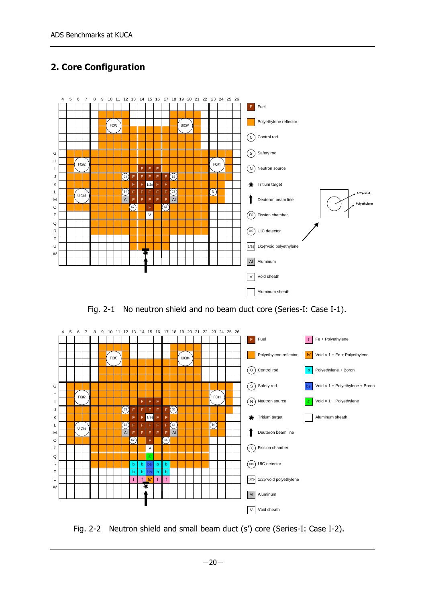# **2. Core Configuration**



Fig. 2-1 No neutron shield and no beam duct core (Series-I: Case I-1).



Fig. 2-2 Neutron shield and small beam duct (s') core (Series-I: Case I-2).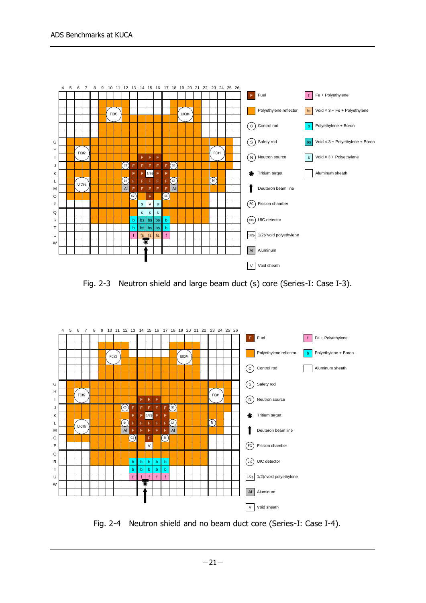

Fig. 2-3 Neutron shield and large beam duct (s) core (Series-I: Case I-3).



Fig. 2-4 Neutron shield and no beam duct core (Series-I: Case I-4).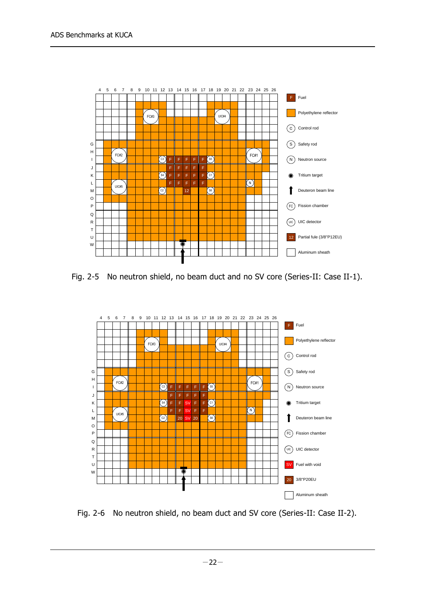

Fig. 2-5 No neutron shield, no beam duct and no SV core (Series-II: Case II-1).



Fig. 2-6 No neutron shield, no beam duct and SV core (Series-II: Case II-2).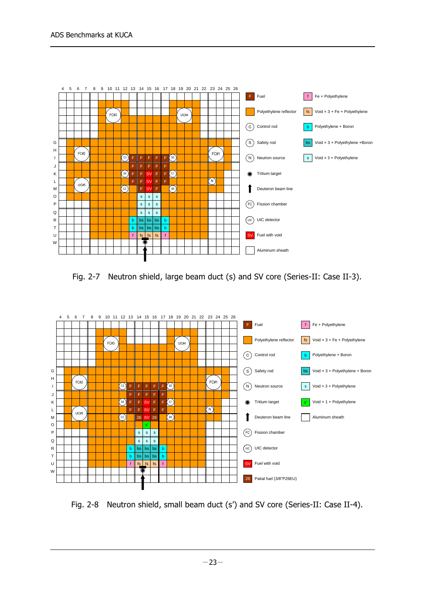

Fig. 2-7 Neutron shield, large beam duct (s) and SV core (Series-II: Case II-3).



Fig. 2-8 Neutron shield, small beam duct (s') and SV core (Series-II: Case II-4).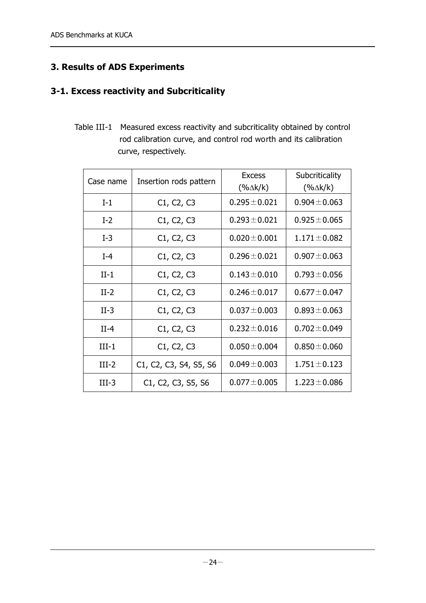# **3. Results of ADS Experiments**

#### **3-1. Excess reactivity and Subcriticality**

Table III-1 Measured excess reactivity and subcriticality obtained by control rod calibration curve, and control rod worth and its calibration curve, respectively.

| Case name | Insertion rods pattern                                                                              | <b>Excess</b><br>$(% \Delta k/k)$ | Subcriticality<br>$(% \Delta k/k)$ |
|-----------|-----------------------------------------------------------------------------------------------------|-----------------------------------|------------------------------------|
| $I-1$     | C1, C2, C3                                                                                          | $0.295 \pm 0.021$                 | $0.904 \pm 0.063$                  |
| $I-2$     | C1, C2, C3                                                                                          | $0.293 \pm 0.021$                 | $0.925 \pm 0.065$                  |
| $I-3$     | C1, C2, C3                                                                                          | $0.020 \pm 0.001$                 | $1.171 \pm 0.082$                  |
| $I-4$     | C <sub>1</sub> , C <sub>2</sub> , C <sub>3</sub>                                                    | $0.296 \pm 0.021$                 | $0.907 \pm 0.063$                  |
| $II-1$    | C1, C2, C3                                                                                          | $0.143 \pm 0.010$                 | $0.793 \pm 0.056$                  |
| $II-2$    | C1, C2, C3                                                                                          | $0.246 \pm 0.017$                 | $0.677 \pm 0.047$                  |
| $II-3$    | C1, C2, C3                                                                                          | $0.037 \pm 0.003$                 | $0.893 \pm 0.063$                  |
| $II-4$    | C1, C2, C3                                                                                          | $0.232 \pm 0.016$                 | $0.702 \pm 0.049$                  |
| $III-1$   | C1, C2, C3                                                                                          | $0.050 \pm 0.004$                 | $0.850 \pm 0.060$                  |
| $III-2$   | C <sub>1</sub> , C <sub>2</sub> , C <sub>3</sub> , S <sub>4</sub> , S <sub>5</sub> , S <sub>6</sub> | $0.049 \pm 0.003$                 | $1.751 \pm 0.123$                  |
| $III-3$   | C <sub>1</sub> , C <sub>2</sub> , C <sub>3</sub> , S <sub>5</sub> , S <sub>6</sub>                  | $0.077 \pm 0.005$                 | $1.223 \pm 0.086$                  |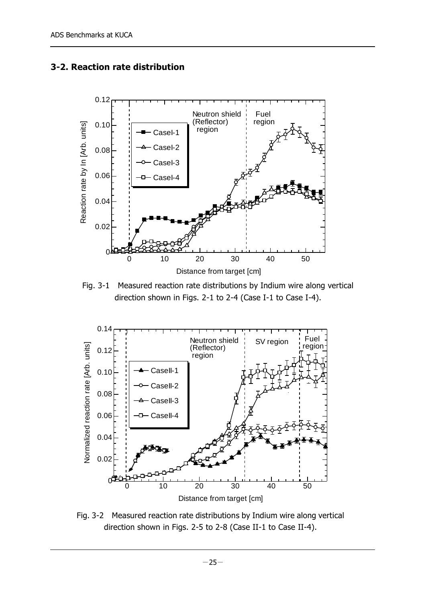



Fig. 3-1 Measured reaction rate distributions by Indium wire along vertical direction shown in Figs. 2-1 to 2-4 (Case I-1 to Case I-4).



Fig. 3-2 Measured reaction rate distributions by Indium wire along vertical direction shown in Figs. 2-5 to 2-8 (Case II-1 to Case II-4).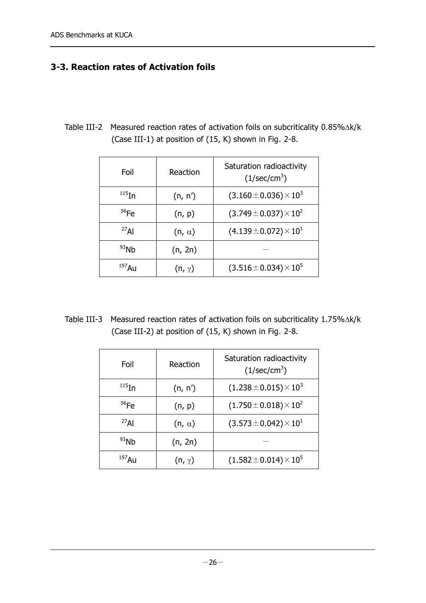#### **3-3. Reaction rates of Activation foils**

Table III-2 Measured reaction rates of activation foils on subcriticality  $0.85\%$  $\triangle k/k$ (Case III-1) at position of (15, K) shown in Fig. 2-8.

| Foil       | Reaction      | Saturation radioactivity<br>(1/sec/cm <sup>3</sup> ) |
|------------|---------------|------------------------------------------------------|
| $115$ In   | (n, n')       | $(3.160 \pm 0.036) \times 10^3$                      |
| $56$ Fe    | (n, p)        | $(3.749 \pm 0.037) \times 10^{2}$                    |
| $^{27}$ Al | $(n, \alpha)$ | $(4.139 \pm 0.072) \times 10^{1}$                    |
| $93$ Nh    | (n, 2n)       |                                                      |
| $197$ Au   | $(n, \gamma)$ | $(3.516 \pm 0.034) \times 10^5$                      |

Table III-3 Measured reaction rates of activation foils on subcriticality  $1.75\%$  $\triangle$ k/k (Case III-2) at position of (15, K) shown in Fig. 2-8.

| Foil        | Reaction      | Saturation radioactivity<br>$(1/\text{sec/cm}^3)$ |  |  |
|-------------|---------------|---------------------------------------------------|--|--|
| $^{115}$ In | (n, n')       | $(1.238 \pm 0.015) \times 10^3$                   |  |  |
| $56$ Fe     | (n, p)        | $(1.750\pm0.018)\times10^{2}$                     |  |  |
| $^{27}$ Al  | $(n, \alpha)$ | $(3.573 \pm 0.042) \times 10^{1}$                 |  |  |
| 93Nb        | (n, 2n)       |                                                   |  |  |
| $197$ AU    | $(n, \gamma)$ | $(1.582 \pm 0.014) \times 10^5$                   |  |  |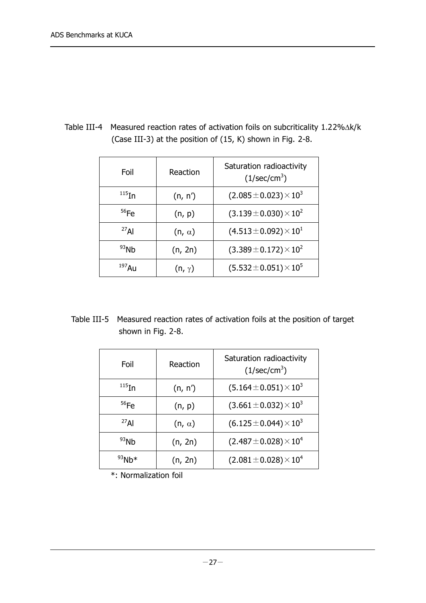| Foil       | Reaction      | Saturation radioactivity<br>(1/sec/cm <sup>3</sup> ) |
|------------|---------------|------------------------------------------------------|
| $115$ In   | (n, n')       | $(2.085 \pm 0.023) \times 10^3$                      |
| $56$ Fe    | (n, p)        | $(3.139 \pm 0.030) \times 10^{2}$                    |
| $^{27}$ Al | $(n, \alpha)$ | $(4.513 \pm 0.092) \times 10^{1}$                    |
| 93Nb       | (n, 2n)       | $(3.389 \pm 0.172) \times 10^{2}$                    |
| $197$ Au   | $(n, \gamma)$ | $(5.532 \pm 0.051) \times 10^5$                      |

Table III-4 Measured reaction rates of activation foils on subcriticality  $1.22\%$  $\triangle$ k/k (Case III-3) at the position of (15, K) shown in Fig. 2-8.

Table III-5 Measured reaction rates of activation foils at the position of target shown in Fig. 2-8.

| Foil              | Reaction      | Saturation radioactivity<br>$(1/\text{sec/cm}^3)$ |
|-------------------|---------------|---------------------------------------------------|
| $^{115}$ In       | (n, n')       | $(5.164 \pm 0.051) \times 10^3$                   |
| $56$ Fe           | (n, p)        | $(3.661 \pm 0.032) \times 10^3$                   |
| $^{27}$ Al        | $(n, \alpha)$ | $(6.125 \pm 0.044) \times 10^3$                   |
| 93Nb              | (n, 2n)       | $(2.487 \pm 0.028) \times 10^4$                   |
| <sup>93</sup> Nh∗ | (n, 2n)       | $(2.081 \pm 0.028) \times 10^4$                   |

\*: Normalization foil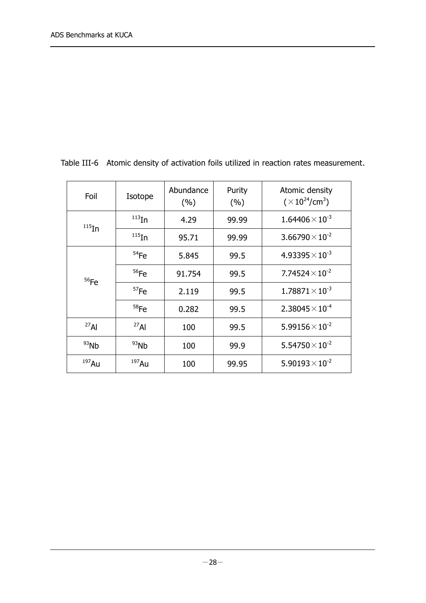| Foil        | Isotope            | Abundance<br>(%) | Purity<br>(%) | Atomic density<br>$(\times 10^{24}$ /cm <sup>3</sup> ) |
|-------------|--------------------|------------------|---------------|--------------------------------------------------------|
| $^{115}$ In | $^{113}$ In        |                  | 99.99         | $1.64406\times10^{-3}$                                 |
|             | $^{115}$ In        | 95.71            | 99.99         | $3.66790\times10^{-2}$                                 |
|             | 54Fe               | 5.845            | 99.5          | $4.93395 \times 10^{-3}$                               |
| $56$ Fe     | $56$ Fe            | 91.754           | 99.5          | 7.74524 $\times$ 10 <sup>-2</sup>                      |
|             | 57Fe               | 2.119            | 99.5          | $1.78871\times10^{-3}$                                 |
|             | $58$ Fe            | 0.282            | 99.5          | $2.38045 \times 10^{-4}$                               |
| $^{27}$ Al  | $^{27}$ Al         | 100              | 99.5          | $5.99156 \times 10^{-2}$                               |
| $93$ Nb     | $93$ <sub>Nb</sub> | 100              | 99.9          | $5.54750\times10^{-2}$                                 |
| $197$ Au    | $197$ Au           | 100              | 99.95         | $5.90193\times10^{-2}$                                 |

Table III-6 Atomic density of activation foils utilized in reaction rates measurement.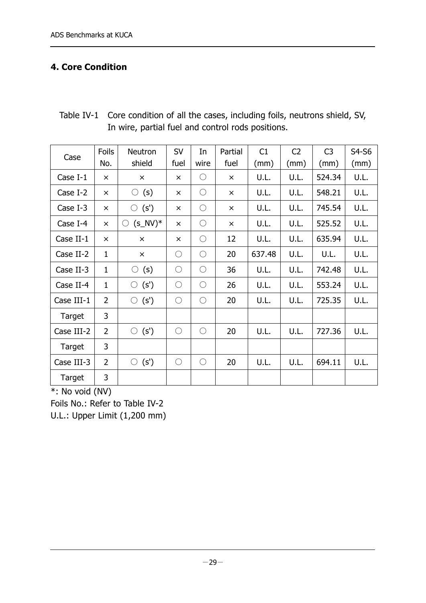# **4. Core Condition**

| Table IV-1 Core condition of all the cases, including foils, neutrons shield, SV, |
|-----------------------------------------------------------------------------------|
| In wire, partial fuel and control rods positions.                                 |

|            | Foils          | Neutron                        | SV         | In         | Partial  | C1     | C <sub>2</sub> | C <sub>3</sub> | S4-S6 |
|------------|----------------|--------------------------------|------------|------------|----------|--------|----------------|----------------|-------|
| Case       | No.            | shield                         | fuel       | wire       | fuel     | (mm)   | (mm)           | (mm)           | (mm)  |
| Case I-1   | $\times$       | $\times$                       | $\times$   | $\bigcirc$ | $\times$ | U.L.   | U.L.           | 524.34         | U.L.  |
| Case I-2   | $\times$       | (s)<br>$\bigcirc$              | $\times$   | $\bigcirc$ | $\times$ | U.L.   | U.L.           | 548.21         | U.L.  |
| Case I-3   | $\times$       | $\circ$ (s')                   | $\times$   | $\bigcirc$ | $\times$ | U.L.   | U.L.           | 745.54         | U.L.  |
| Case I-4   | $\times$       | $(s_N/V)^*$<br>$\left(\right)$ | $\times$   | $\bigcirc$ | $\times$ | U.L.   | U.L.           | 525.52         | U.L.  |
| Case II-1  | $\times$       | $\times$                       | $\times$   | $\bigcirc$ | 12       | U.L.   | U.L.           | 635.94         | U.L.  |
| Case II-2  | $\mathbf{1}$   | $\times$                       | O          | $\bigcirc$ | 20       | 637.48 | U.L.           | U.L.           | U.L.  |
| Case II-3  | $\mathbf{1}$   | $\circ$ (s)                    | $\bigcirc$ | $\bigcirc$ | 36       | U.L.   | U.L.           | 742.48         | U.L.  |
| Case II-4  | $\mathbf{1}$   | (s')<br>$\bigcirc$             | $\bigcap$  | $\bigcirc$ | 26       | U.L.   | U.L.           | 553.24         | U.L.  |
| Case III-1 | $\overline{2}$ | $\circ$ (s')                   | $\bigcirc$ | $\bigcirc$ | 20       | U.L.   | U.L.           | 725.35         | U.L.  |
| Target     | 3              |                                |            |            |          |        |                |                |       |
| Case III-2 | $\overline{2}$ | $\circ$ (s')                   | $\bigcirc$ | $\bigcirc$ | 20       | U.L.   | U.L.           | 727.36         | U.L.  |
| Target     | 3              |                                |            |            |          |        |                |                |       |
| Case III-3 | $\overline{2}$ | (s')<br>$\bigcirc$             | $\bigcirc$ | $\bigcirc$ | 20       | U.L.   | U.L.           | 694.11         | U.L.  |
| Target     | 3              |                                |            |            |          |        |                |                |       |

\*: No void (NV)

Foils No.: Refer to Table IV-2

U.L.: Upper Limit (1,200 mm)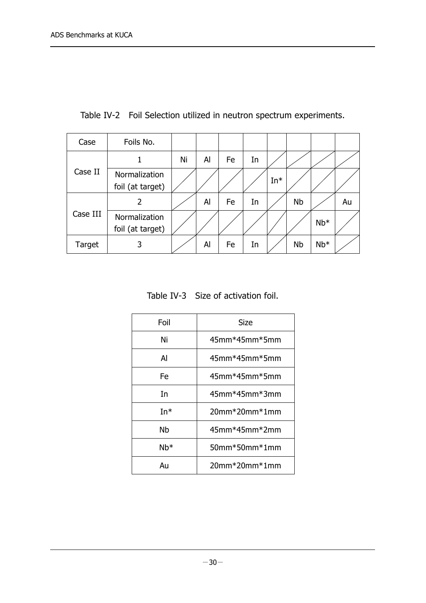| Case     | Foils No.                         |    |    |    |    |       |           |       |    |
|----------|-----------------------------------|----|----|----|----|-------|-----------|-------|----|
|          | 1                                 | Ni | Al | Fe | In |       |           |       |    |
| Case II  | Normalization<br>foil (at target) |    |    |    |    | $In*$ |           |       |    |
|          | 2                                 |    | Al | Fe | In |       | <b>Nb</b> |       | Au |
| Case III | Normalization<br>foil (at target) |    |    |    |    |       |           | $Nb*$ |    |
| Target   | 3                                 |    | Al | Fe | In |       | <b>Nb</b> | $Nb*$ |    |

Table IV-2 Foil Selection utilized in neutron spectrum experiments.

Table IV-3 Size of activation foil.

| Foil      | Size                     |  |  |
|-----------|--------------------------|--|--|
| Ni        | $45$ mm $*45$ mm $*5$ mm |  |  |
| Al        | $45$ mm $*45$ mm $*5$ mm |  |  |
| Fe        | $45$ mm $*45$ mm $*5$ mm |  |  |
| In        | $45$ mm $*45$ mm $*3$ mm |  |  |
| In*       | $20mm*20mm*1mm$          |  |  |
| <b>Nb</b> | 45mm*45mm*2mm            |  |  |
| Nb*       | $50$ mm $*50$ mm $*1$ mm |  |  |
| Au        | $20$ mm $*20$ mm $*1$ mm |  |  |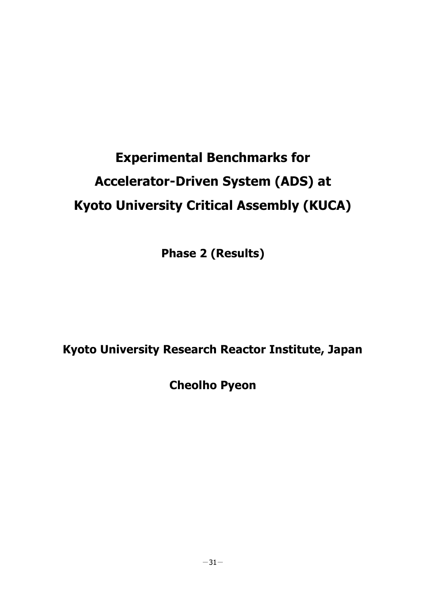# **Experimental Benchmarks for Accelerator-Driven System (ADS) at Kyoto University Critical Assembly (KUCA)**

**Phase 2 (Results)**

**Kyoto University Research Reactor Institute, Japan**

**Cheolho Pyeon**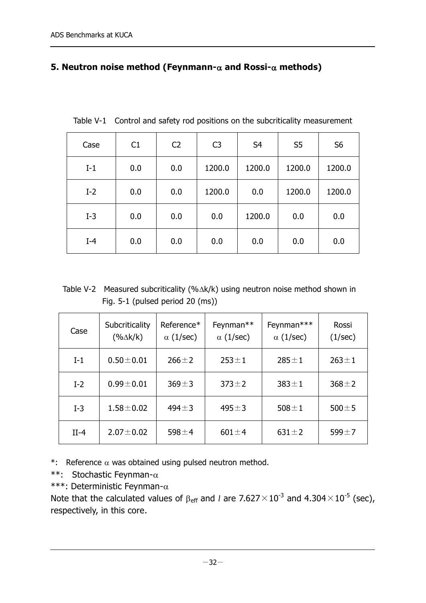#### **5. Neutron noise method (Feynmann-** $\alpha$  **and Rossi-** $\alpha$  **methods)**

| Case  | C1  | C <sub>2</sub> | C <sub>3</sub> | S <sub>4</sub> | S <sub>5</sub> | S <sub>6</sub> |
|-------|-----|----------------|----------------|----------------|----------------|----------------|
| $I-1$ | 0.0 | 0.0            | 1200.0         | 1200.0         | 1200.0         | 1200.0         |
| $I-2$ | 0.0 | 0.0            | 1200.0         | 0.0            | 1200.0         | 1200.0         |
| $I-3$ | 0.0 | 0.0            | 0.0            | 1200.0         | 0.0            | 0.0            |
| $I-4$ | 0.0 | 0.0            | 0.0            | 0.0            | 0.0            | 0.0            |

Table V-1 Control and safety rod positions on the subcriticality measurement

Table V-2 Measured subcriticality (% $\Delta$ k/k) using neutron noise method shown in Fig. 5-1 (pulsed period 20 (ms))

| Case   | Subcriticality<br>$(% \Delta k/k)$ | Reference*<br>$\alpha$ (1/sec) | Feynman**<br>$\alpha$ (1/sec) | Feynman***<br>$\alpha$ (1/sec) | Rossi<br>(1/sec) |
|--------|------------------------------------|--------------------------------|-------------------------------|--------------------------------|------------------|
| $I-1$  | $0.50 + 0.01$                      | $266 \pm 2$                    | $253 \pm 1$                   | $285 \pm 1$                    | $263 \pm 1$      |
| $I-2$  | $0.99 \pm 0.01$                    | $369 + 3$                      | $373 \pm 2$                   | $383 \pm 1$                    | $368 \pm 2$      |
| $I-3$  | $1.58 \pm 0.02$                    | $494 \pm 3$                    | $495 \pm 3$                   | $508 \pm 1$                    | $500 \pm 5$      |
| $II-4$ | $2.07 \pm 0.02$                    | 598 $\pm$ 4                    | $601 \pm 4$                   | $631 \pm 2$                    | 599 $\pm$ 7      |

\*: Reference  $\alpha$  was obtained using pulsed neutron method.

\*\*: Stochastic Feynman- $\alpha$ 

\*\*\*: Deterministic Feynman- $\alpha$ 

Note that the calculated values of  $\beta_{\mathsf{eff}}$  and *l* are 7.627 $\times 10^{-3}$  and 4.304 $\times 10^{-5}$  (sec), respectively, in this core.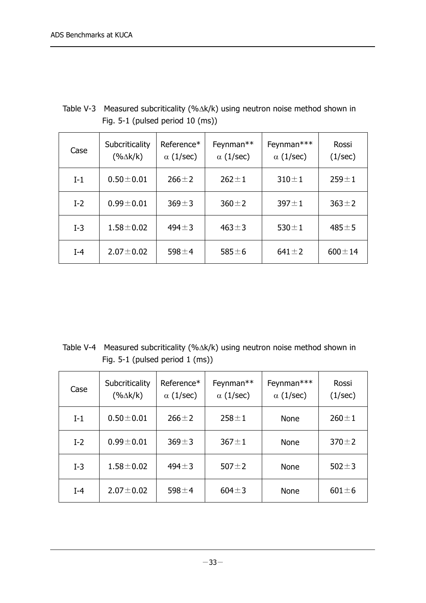| Table V-3 Measured subcriticality $(\% \Delta k/k)$ using neutron noise method shown in |
|-----------------------------------------------------------------------------------------|
| Fig. $5-1$ (pulsed period $10$ (ms))                                                    |

| Case  | Subcriticality<br>$(\% \Delta k/k)$ | Reference*<br>$\alpha$ (1/sec) | Feynman**<br>$\alpha$ (1/sec) | Feynman***<br>$\alpha$ (1/sec) | Rossi<br>(1/sec) |
|-------|-------------------------------------|--------------------------------|-------------------------------|--------------------------------|------------------|
| $I-1$ | $0.50 \pm 0.01$                     | $266 \pm 2$                    | $262 \pm 1$                   | $310 \pm 1$                    | $259 \pm 1$      |
| $I-2$ | $0.99 \pm 0.01$                     | $369 + 3$                      | $360 \pm 2$                   | $397 \pm 1$                    | $363 \pm 2$      |
| $I-3$ | $1.58 \pm 0.02$                     | $494 \pm 3$                    | $463 \pm 3$                   | $530 \pm 1$                    | $485 \pm 5$      |
| $I-4$ | $2.07 \pm 0.02$                     | 598 $\pm$ 4                    | $585 \pm 6$                   | $641 \pm 2$                    | $600 \pm 14$     |

Table V-4 Measured subcriticality (% $\Delta$ k/k) using neutron noise method shown in Fig. 5-1 (pulsed period 1 (ms))

| Case  | Subcriticality<br>$(% \Delta k/k)$ | Reference*<br>$\alpha$ (1/sec) | Feynman**<br>$\alpha$ (1/sec) | Feynman***<br>$\alpha$ (1/sec) | Rossi<br>(1/sec) |
|-------|------------------------------------|--------------------------------|-------------------------------|--------------------------------|------------------|
| $I-1$ | $0.50 \pm 0.01$                    | $266 \pm 2$                    | $258 \pm 1$                   | None                           | $260 \pm 1$      |
| $I-2$ | $0.99 \pm 0.01$                    | $369 \pm 3$                    | $367 \pm 1$                   | <b>None</b>                    | $370 + 2$        |
| $I-3$ | $1.58 \pm 0.02$                    | $494 \pm 3$                    | 507 $\pm$ 2                   | <b>None</b>                    | $502 \pm 3$      |
| $I-4$ | $2.07 \pm 0.02$                    | 598 $\pm$ 4                    | $604 \pm 3$                   | <b>None</b>                    | $601 \pm 6$      |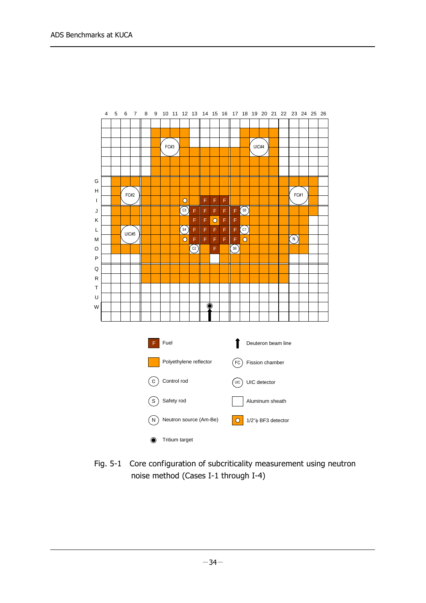

Fig. 5-1 Core configuration of subcriticality measurement using neutron noise method (Cases I-1 through I-4)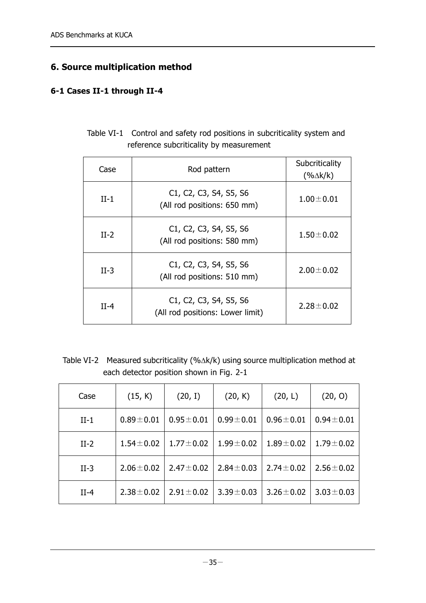## **6. Source multiplication method**

#### **6-1 Cases II-1 through II-4**

| Table VI-1 Control and safety rod positions in subcriticality system and |
|--------------------------------------------------------------------------|
| reference subcriticality by measurement                                  |

| Case   | Rod pattern                                                                                                                             | Subcriticality<br>$(% \Delta k/k)$ |
|--------|-----------------------------------------------------------------------------------------------------------------------------------------|------------------------------------|
| $II-1$ | C <sub>1</sub> , C <sub>2</sub> , C <sub>3</sub> , S <sub>4</sub> , S <sub>5</sub> , S <sub>6</sub><br>(All rod positions: 650 mm)      | $1.00 \pm 0.01$                    |
| $II-2$ | C <sub>1</sub> , C <sub>2</sub> , C <sub>3</sub> , S <sub>4</sub> , S <sub>5</sub> , S <sub>6</sub><br>(All rod positions: 580 mm)      | $1.50 \pm 0.02$                    |
| $II-3$ | C <sub>1</sub> , C <sub>2</sub> , C <sub>3</sub> , S <sub>4</sub> , S <sub>5</sub> , S <sub>6</sub><br>(All rod positions: 510 mm)      | $2.00 \pm 0.02$                    |
| $II-4$ | C <sub>1</sub> , C <sub>2</sub> , C <sub>3</sub> , S <sub>4</sub> , S <sub>5</sub> , S <sub>6</sub><br>(All rod positions: Lower limit) | $2.28 \pm 0.02$                    |

Table VI-2 Measured subcriticality (% $\Delta$ k/k) using source multiplication method at each detector position shown in Fig. 2-1

| Case   | (15, K)         | (20, I)         | (20, K)         | (20, L)         | (20, 0)         |
|--------|-----------------|-----------------|-----------------|-----------------|-----------------|
| $II-1$ | $0.89 + 0.01$   | $0.95 \pm 0.01$ | $0.99 \pm 0.01$ | $0.96 \pm 0.01$ | $0.94 \pm 0.01$ |
| $II-2$ | $1.54 \pm 0.02$ | $1.77 \pm 0.02$ | $1.99 \pm 0.02$ | $1.89 \pm 0.02$ | $1.79 \pm 0.02$ |
| $II-3$ | $2.06 \pm 0.02$ | $2.47 \pm 0.02$ | $2.84 \pm 0.03$ | $2.74 \pm 0.02$ | $2.56 \pm 0.02$ |
| $II-4$ | $2.38 \pm 0.02$ | $2.91 \pm 0.02$ | $3.39 \pm 0.03$ | $3.26 \pm 0.02$ | $3.03 \pm 0.03$ |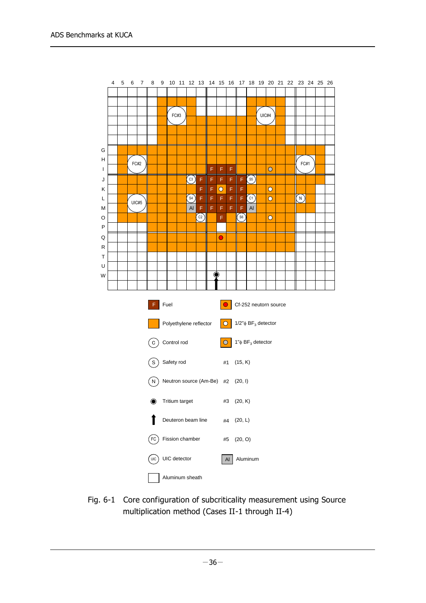

Fig. 6-1 Core configuration of subcriticality measurement using Source multiplication method (Cases II-1 through II-4)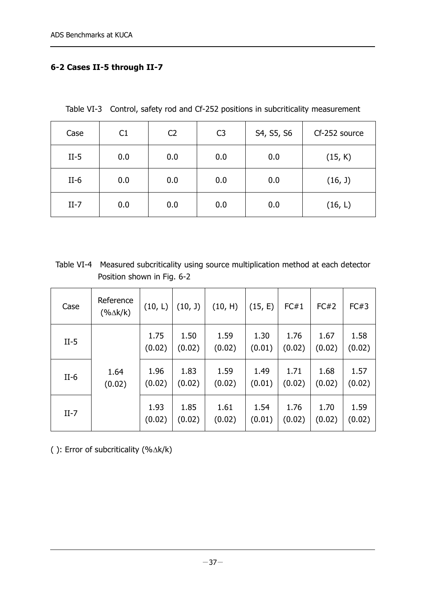#### **6-2 Cases II-5 through II-7**

Table VI-3 Control, safety rod and Cf-252 positions in subcriticality measurement

| Case   | C1  | C <sub>2</sub> | C <sub>3</sub> | S4, S5, S6 | Cf-252 source |
|--------|-----|----------------|----------------|------------|---------------|
| $II-5$ | 0.0 | 0.0            | 0.0            | 0.0        | (15, K)       |
| $II-6$ | 0.0 | 0.0            | 0.0            | 0.0        | (16, 1)       |
| $II-7$ | 0.0 | 0.0            | 0.0            | 0.0        | (16, L)       |

Table VI-4 Measured subcriticality using source multiplication method at each detector Position shown in Fig. 6-2

| Case   | Reference<br>$(%$ (% $\Delta$ k/k) | (10, L)        | (10, J)        | (10, H)        | (15, E)        | FC#1           | FC#2           | FC#3           |
|--------|------------------------------------|----------------|----------------|----------------|----------------|----------------|----------------|----------------|
| $II-5$ |                                    | 1.75<br>(0.02) | 1.50<br>(0.02) | 1.59<br>(0.02) | 1.30<br>(0.01) | 1.76<br>(0.02) | 1.67<br>(0.02) | 1.58<br>(0.02) |
| $II-6$ | 1.64<br>(0.02)                     | 1.96<br>(0.02) | 1.83<br>(0.02) | 1.59<br>(0.02) | 1.49<br>(0.01) | 1.71<br>(0.02) | 1.68<br>(0.02) | 1.57<br>(0.02) |
| $II-7$ |                                    | 1.93<br>(0.02) | 1.85<br>(0.02) | 1.61<br>(0.02) | 1.54<br>(0.01) | 1.76<br>(0.02) | 1.70<br>(0.02) | 1.59<br>(0.02) |

( ): Error of subcriticality  $(\% \triangle k/k)$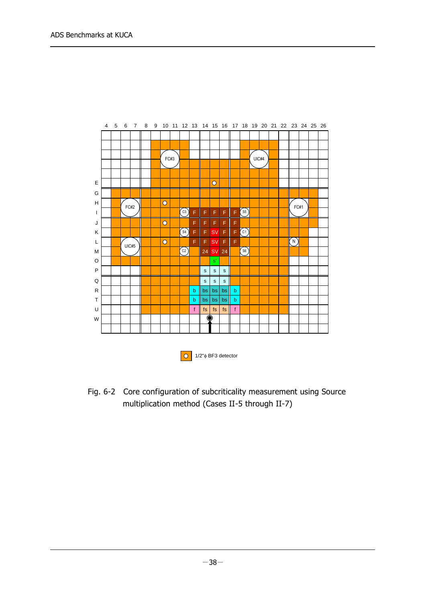



Fig. 6-2 Core configuration of subcriticality measurement using Source multiplication method (Cases II-5 through II-7)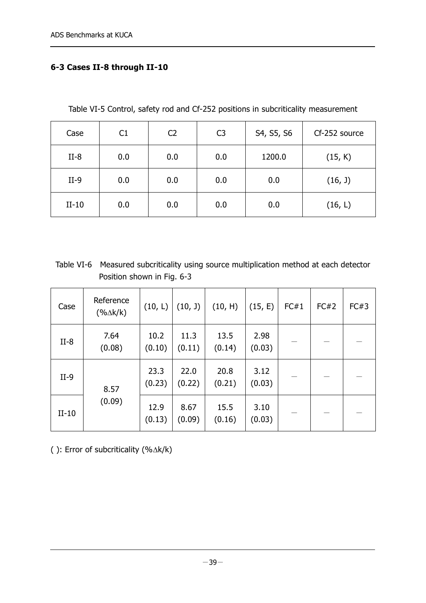#### **6-3 Cases II-8 through II-10**

Table VI-5 Control, safety rod and Cf-252 positions in subcriticality measurement

| Case    | C1  | C <sub>2</sub> | C <sub>3</sub> | S4, S5, S6 | Cf-252 source |
|---------|-----|----------------|----------------|------------|---------------|
| $II-8$  | 0.0 | 0.0            | 0.0            | 1200.0     | (15, K)       |
| $II-9$  | 0.0 | 0.0            | 0.0            | 0.0        | (16, 1)       |
| $II-10$ | 0.0 | 0.0            | 0.0            | 0.0        | (16, L)       |

Table VI-6 Measured subcriticality using source multiplication method at each detector Position shown in Fig. 6-3

| Case    | Reference<br>$(% \Delta k / k)$ | (10, L)        | (10, 1)        | (10, H)        | (15, E)        | FC#1 | FC#2 | FC#3 |
|---------|---------------------------------|----------------|----------------|----------------|----------------|------|------|------|
| $II-8$  | 7.64<br>(0.08)                  | 10.2<br>(0.10) | 11.3<br>(0.11) | 13.5<br>(0.14) | 2.98<br>(0.03) |      |      |      |
| $II-9$  | 8.57                            | 23.3<br>(0.23) | 22.0<br>(0.22) | 20.8<br>(0.21) | 3.12<br>(0.03) |      |      |      |
| $II-10$ | (0.09)                          | 12.9<br>(0.13) | 8.67<br>(0.09) | 15.5<br>(0.16) | 3.10<br>(0.03) |      |      |      |

( ): Error of subcriticality  $(\% \triangle k/k)$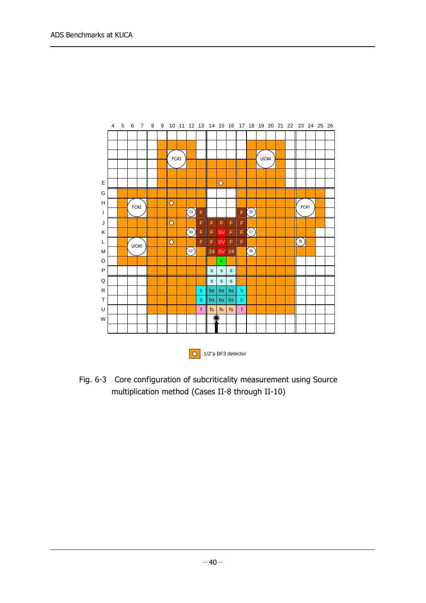

Fig. 6-3 Core configuration of subcriticality measurement using Source multiplication method (Cases II-8 through II-10)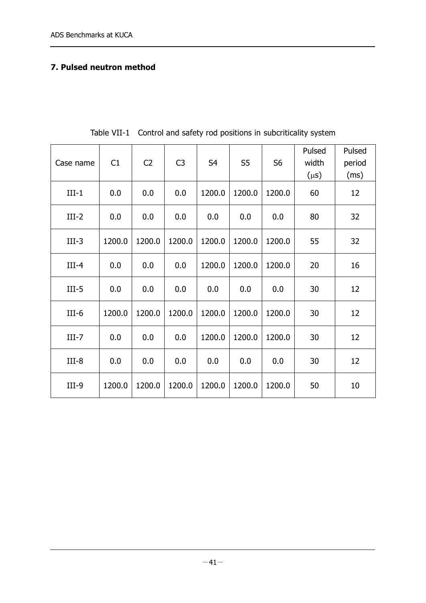#### **7. Pulsed neutron method**

| Case name | C1     | C <sub>2</sub> | C <sub>3</sub> | S <sub>4</sub> | S <sub>5</sub> | S <sub>6</sub> | Pulsed<br>width | Pulsed<br>period |
|-----------|--------|----------------|----------------|----------------|----------------|----------------|-----------------|------------------|
|           |        |                |                |                |                |                | $(\mu s)$       | (ms)             |
| $III-1$   | 0.0    | 0.0            | 0.0            | 1200.0         | 1200.0         | 1200.0         | 60              | 12               |
| $III-2$   | 0.0    | 0.0            | 0.0            | 0.0            | 0.0            | 0.0            | 80              | 32               |
| $III-3$   | 1200.0 | 1200.0         | 1200.0         | 1200.0         | 1200.0         | 1200.0         | 55              | 32               |
| $III-4$   | 0.0    | 0.0            | 0.0            | 1200.0         | 1200.0         | 1200.0         | 20              | 16               |
| $III-5$   | 0.0    | 0.0            | 0.0            | 0.0            | 0.0            | 0.0            | 30              | 12               |
| $III-6$   | 1200.0 | 1200.0         | 1200.0         | 1200.0         | 1200.0         | 1200.0         | 30              | 12               |
| $III-7$   | 0.0    | 0.0            | 0.0            | 1200.0         | 1200.0         | 1200.0         | 30              | 12               |
| $III-8$   | 0.0    | 0.0            | 0.0            | 0.0            | 0.0            | 0.0            | 30              | 12               |
| $III-9$   | 1200.0 | 1200.0         | 1200.0         | 1200.0         | 1200.0         | 1200.0         | 50              | 10               |

Table VII-1 Control and safety rod positions in subcriticality system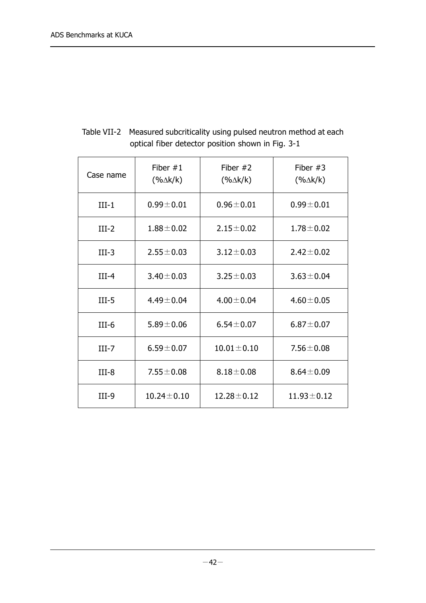| Case name | Fiber $#1$<br>$(% \Delta k / k)$ | Fiber $#2$<br>$(% \Delta k/k)$ | Fiber $#3$<br>$(%$ (% $\Delta$ k/k) |  |  |  |  |  |
|-----------|----------------------------------|--------------------------------|-------------------------------------|--|--|--|--|--|
| $III-1$   | $0.99 \pm 0.01$                  | $0.96 \pm 0.01$                | $0.99 + 0.01$                       |  |  |  |  |  |
| $III-2$   | $1.88 \pm 0.02$                  | $2.15 \pm 0.02$                | $1.78 \pm 0.02$                     |  |  |  |  |  |
| $III-3$   | $2.55 \pm 0.03$                  | $3.12 \pm 0.03$                | $2.42 \pm 0.02$                     |  |  |  |  |  |
| $III-4$   | $3.40 \pm 0.03$                  | $3.25 \pm 0.03$                | $3.63 \pm 0.04$                     |  |  |  |  |  |
| $III-5$   | $4.49 \pm 0.04$                  | $4.00 \pm 0.04$                | $4.60 \pm 0.05$                     |  |  |  |  |  |
| $III-6$   | $5.89 \pm 0.06$                  | $6.54 \pm 0.07$                | $6.87 \pm 0.07$                     |  |  |  |  |  |
| $III-7$   | $6.59 \pm 0.07$                  | $10.01 \pm 0.10$               | $7.56 \pm 0.08$                     |  |  |  |  |  |
| $III-8$   | $7.55 \pm 0.08$                  | $8.18 \pm 0.08$                | $8.64 \pm 0.09$                     |  |  |  |  |  |
| $III-9$   | $10.24 \pm 0.10$                 | $12.28 \pm 0.12$               | $11.93 \pm 0.12$                    |  |  |  |  |  |

Table VII-2 Measured subcriticality using pulsed neutron method at each optical fiber detector position shown in Fig. 3-1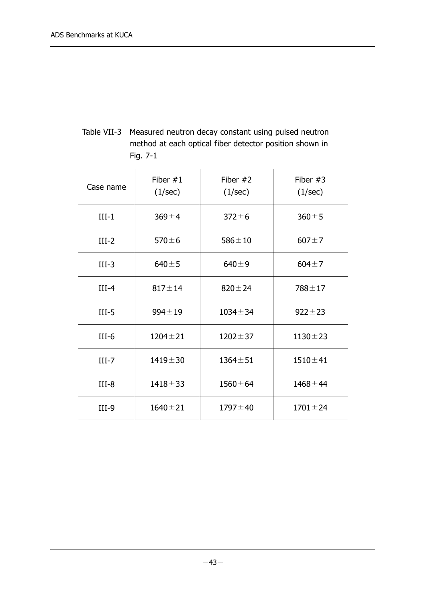Table VII-3 Measured neutron decay constant using pulsed neutron method at each optical fiber detector position shown in Fig. 7-1

| Case name | Fiber $#1$<br>(1/sec) | Fiber $#2$<br>(1/sec) | Fiber $#3$<br>(1/sec) |  |  |  |  |  |
|-----------|-----------------------|-----------------------|-----------------------|--|--|--|--|--|
| $III-1$   | $369 + 4$             | $372 \pm 6$           | $360 + 5$             |  |  |  |  |  |
| $III-2$   | $570 \pm 6$           | $586 \pm 10$          | $607 + 7$             |  |  |  |  |  |
| $III-3$   | $640 + 5$             | $640 + 9$             | $604 + 7$             |  |  |  |  |  |
| $III-4$   | $817 + 14$            | $820 \pm 24$          | $788 + 17$            |  |  |  |  |  |
| $III-5$   | $994 \pm 19$          | $1034 \pm 34$         | $922 \pm 23$          |  |  |  |  |  |
| $III-6$   | $1204 \pm 21$         | $1202 \pm 37$         | $1130 \pm 23$         |  |  |  |  |  |
| $III-7$   | $1419 + 30$           | $1364 + 51$           | $1510 \pm 41$         |  |  |  |  |  |
| $III-8$   | $1418 + 33$           | $1560 \pm 64$         | $1468 \pm 44$         |  |  |  |  |  |
| $III-9$   | $1640 + 21$           | $1797 + 40$           | $1701 \pm 24$         |  |  |  |  |  |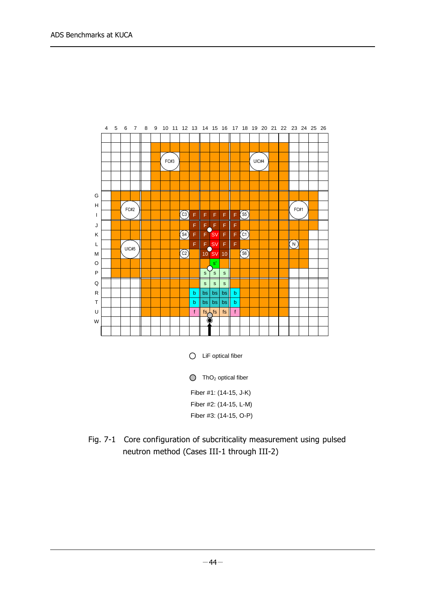|              | 4 | 5 | 6      | $\overline{7}$ | 8 | 9 |        | 10 11 12 13           |   | 14 15 16     |                    |                 |             |                                     |       |  | 17 18 19 20 21 22 23 24 25 26 |      |  |  |
|--------------|---|---|--------|----------------|---|---|--------|-----------------------|---|--------------|--------------------|-----------------|-------------|-------------------------------------|-------|--|-------------------------------|------|--|--|
|              |   |   |        |                |   |   |        |                       |   |              |                    |                 |             |                                     |       |  |                               |      |  |  |
|              |   |   |        |                |   |   |        |                       |   |              |                    |                 |             |                                     |       |  |                               |      |  |  |
|              |   |   |        |                |   |   |        |                       |   |              |                    |                 |             |                                     |       |  |                               |      |  |  |
|              |   |   |        |                |   |   | $FC#3$ |                       |   |              |                    |                 |             |                                     | UIC#4 |  |                               |      |  |  |
|              |   |   |        |                |   |   |        |                       |   |              |                    |                 |             |                                     |       |  |                               |      |  |  |
|              |   |   |        |                |   |   |        |                       |   |              |                    |                 |             |                                     |       |  |                               |      |  |  |
|              |   |   |        |                |   |   |        |                       |   |              |                    |                 |             |                                     |       |  |                               |      |  |  |
| G            |   |   |        |                |   |   |        |                       |   |              |                    |                 |             |                                     |       |  |                               |      |  |  |
| H            |   |   | $FC#2$ |                |   |   |        |                       |   |              |                    |                 |             |                                     |       |  |                               | FC#1 |  |  |
| $\mathbf{I}$ |   |   |        |                |   |   |        | $\left( c_{3}\right)$ | F | F            | F                  | F               | F           | $(\mathsf{s}\mathsf{s})$            |       |  |                               |      |  |  |
| J            |   |   |        |                |   |   |        |                       | F | F            | $\mathsf F$        | F               | F           |                                     |       |  |                               |      |  |  |
| Κ            |   |   |        |                |   |   |        | (s <sub>4</sub> )     | F | F            | <b>SV</b>          | F               | F           | $\begin{pmatrix} c_1 \end{pmatrix}$ |       |  |                               |      |  |  |
| L            |   |   |        |                |   |   |        |                       | F | F            | <b>SV</b>          | F               | F           |                                     |       |  |                               | (N)  |  |  |
| M            |   |   | UIC#5  |                |   |   |        | $\binom{C2}{C}$       |   |              | 10 SV              | 10 <sub>1</sub> |             | $\left( \text{S6}\right)$           |       |  |                               |      |  |  |
|              |   |   |        |                |   |   |        |                       |   |              |                    |                 |             |                                     |       |  |                               |      |  |  |
| O            |   |   |        |                |   |   |        |                       |   |              | s'                 |                 |             |                                     |       |  |                               |      |  |  |
| $\mathsf{P}$ |   |   |        |                |   |   |        |                       |   | $\mathbf{s}$ | $\mathbf{s}$       | $\mathbf{s}$    |             |                                     |       |  |                               |      |  |  |
| Q            |   |   |        |                |   |   |        |                       |   | $\mathbf S$  | $\mathbf S$        | $\mathbf S$     |             |                                     |       |  |                               |      |  |  |
| ${\sf R}$    |   |   |        |                |   |   |        |                       | b | bs           | bs                 | bs              | b           |                                     |       |  |                               |      |  |  |
| T            |   |   |        |                |   |   |        |                       | b | bs           | bs                 | bs              | $\mathbf b$ |                                     |       |  |                               |      |  |  |
| U            |   |   |        |                |   |   |        |                       | f |              | $fs\frac{1}{s}$ is | fs              | f           |                                     |       |  |                               |      |  |  |
| W            |   |   |        |                |   |   |        |                       |   |              |                    |                 |             |                                     |       |  |                               |      |  |  |
|              |   |   |        |                |   |   |        |                       |   |              |                    |                 |             |                                     |       |  |                               |      |  |  |
|              |   |   |        |                |   |   |        |                       |   |              |                    |                 |             |                                     |       |  |                               |      |  |  |

 $O$  LiF optical fiber

 $ThO<sub>2</sub>$  optical fiber

Fiber #1: (14-15, J-K)

- Fiber #2: (14-15, L-M)
- Fiber #3: (14-15, O-P)
- Fig. 7-1 Core configuration of subcriticality measurement using pulsed neutron method (Cases III-1 through III-2)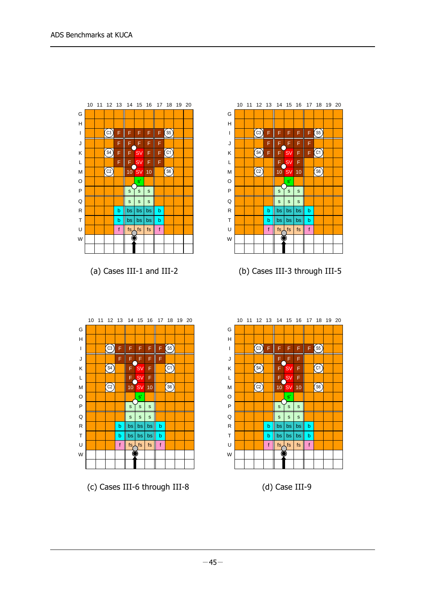



(a) Cases III-1 and III-2 (b) Cases III-3 through III-5



(c) Cases III-6 through III-8 (d) Case III-9